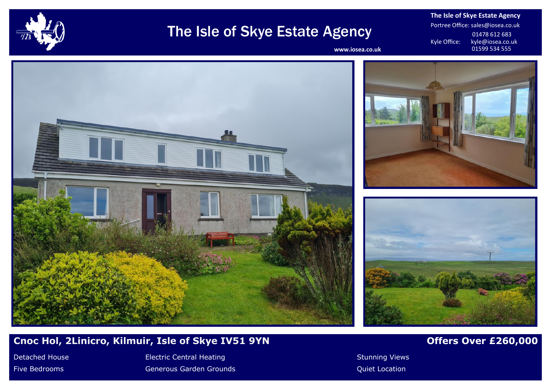

# The Isle of Skye Estate Agency

**The Isle of Skye Estate Agency** Portree Office: sales@iosea.co.uk 01478 612 683<br>Kyle Office: kyle@iosea.co.u kyle@iosea.co.uk<br>01599 534 555

www.iosea.co.uk







# **Cnoc Hol, 2Linicro, Kilmuir, Isle of Skye IV51 9YN Change of Australian Control Control Control Control Control Control Control Control Control Control Control Control Control Control Control Control Control Control Con**

Detached House **Electric Central Heating Stunning Views** Stunning Views Five Bedrooms **Generous Garden Grounds** Community Controller Controller Controller Controller Controller Controller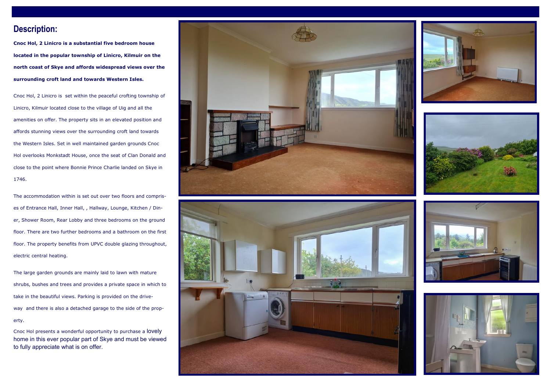# **Description:**

**Cnoc Hol, 2 Linicro is a substantial five bedroom house located in the popular township of Linicro, Kilmuir on the north coast of Skye and affords widespread views over the surrounding croft land and towards Western Isles.**

Cnoc Hol, 2 Linicro is set within the peaceful crofting township of Linicro, Kilmuir located close to the village of Uig and all the amenities on offer. The property sits in an elevated position and affords stunning views over the surrounding croft land towards the Western Isles. Set in well maintained garden grounds Cnoc Hol overlooks Monkstadt House, once the seat of Clan Donald and close to the point where Bonnie Prince Charlie landed on Skye in 1746.

The accommodation within is set out over two floors and comprises of Entrance Hall, Inner Hall, , Hallway, Lounge, Kitchen / Diner, Shower Room, Rear Lobby and three bedrooms on the ground floor. There are two further bedrooms and a bathroom on the first floor. The property benefits from UPVC double glazing throughout, electric central heating.

The large garden grounds are mainly laid to lawn with mature shrubs, bushes and trees and provides a private space in which to take in the beautiful views. Parking is provided on the driveway and there is also a detached garage to the side of the property.

Cnoc Hol presents a wonderful opportunity to purchase a lovely home in this ever popular part of Skye and must be viewed to fully appreciate what is on offer.











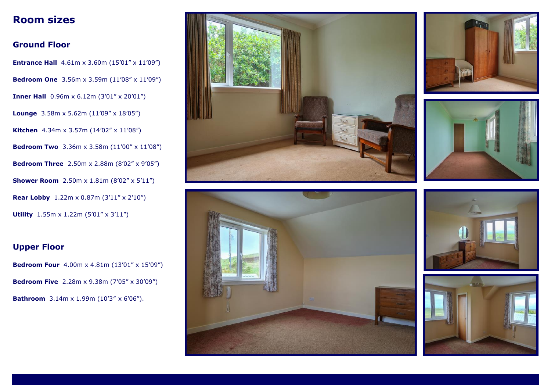# **Room sizes**

# **Ground Floor**

**Entrance Hall** 4.61m x 3.60m (15'01" x 11'09") **Bedroom One** 3.56m x 3.59m (11'08" x 11'09") **Inner Hall** 0.96m x 6.12m (3'01" x 20'01") **Lounge** 3.58m x 5.62m (11'09" x 18'05") **Kitchen** 4.34m x 3.57m (14'02" x 11'08") **Bedroom Two** 3.36m x 3.58m (11'00" x 11'08") **Bedroom Three** 2.50m x 2.88m (8'02" x 9'05") **Shower Room** 2.50m x 1.81m (8'02" x 5'11") **Rear Lobby** 1.22m x 0.87m (3'11" x 2'10") **Utility** 1.55m x 1.22m (5'01" x 3'11")

# **Upper Floor**

**Bedroom Four** 4.00m x 4.81m (13'01" x 15'09") **Bedroom Five** 2.28m x 9.38m (7'05" x 30'09") **Bathroom** 3.14m x 1.99m (10'3″ x 6'06").